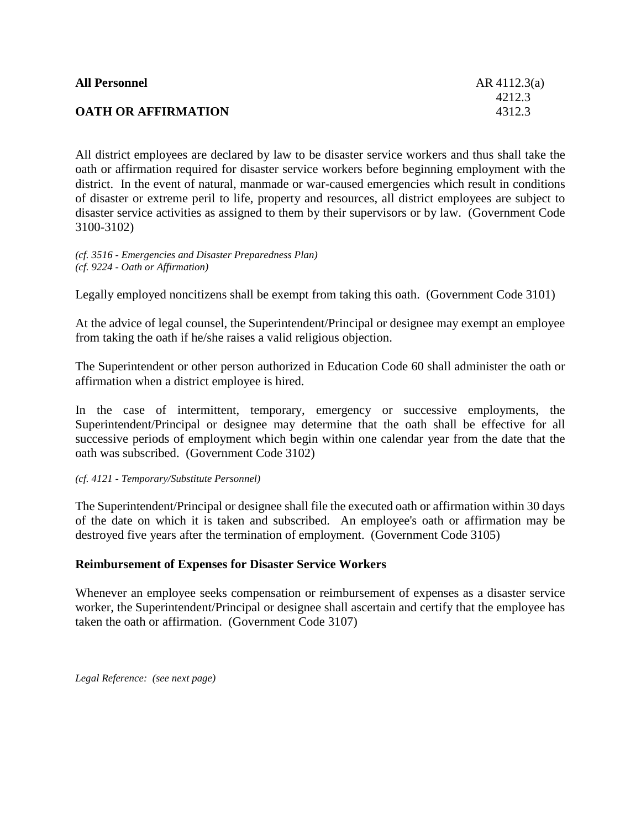| <b>All Personnel</b>       | AR $4112.3(a)$ |
|----------------------------|----------------|
|                            | 4212.3         |
| <b>OATH OR AFFIRMATION</b> | 4312.3         |

All district employees are declared by law to be disaster service workers and thus shall take the oath or affirmation required for disaster service workers before beginning employment with the district. In the event of natural, manmade or war-caused emergencies which result in conditions of disaster or extreme peril to life, property and resources, all district employees are subject to disaster service activities as assigned to them by their supervisors or by law. (Government Code 3100-3102)

*(cf. 3516 - Emergencies and Disaster Preparedness Plan) (cf. 9224 - Oath or Affirmation)*

Legally employed noncitizens shall be exempt from taking this oath. (Government Code 3101)

At the advice of legal counsel, the Superintendent/Principal or designee may exempt an employee from taking the oath if he/she raises a valid religious objection.

The Superintendent or other person authorized in Education Code 60 shall administer the oath or affirmation when a district employee is hired.

In the case of intermittent, temporary, emergency or successive employments, the Superintendent/Principal or designee may determine that the oath shall be effective for all successive periods of employment which begin within one calendar year from the date that the oath was subscribed. (Government Code 3102)

*(cf. 4121 - Temporary/Substitute Personnel)*

The Superintendent/Principal or designee shall file the executed oath or affirmation within 30 days of the date on which it is taken and subscribed. An employee's oath or affirmation may be destroyed five years after the termination of employment. (Government Code 3105)

## **Reimbursement of Expenses for Disaster Service Workers**

Whenever an employee seeks compensation or reimbursement of expenses as a disaster service worker, the Superintendent/Principal or designee shall ascertain and certify that the employee has taken the oath or affirmation. (Government Code 3107)

*Legal Reference: (see next page)*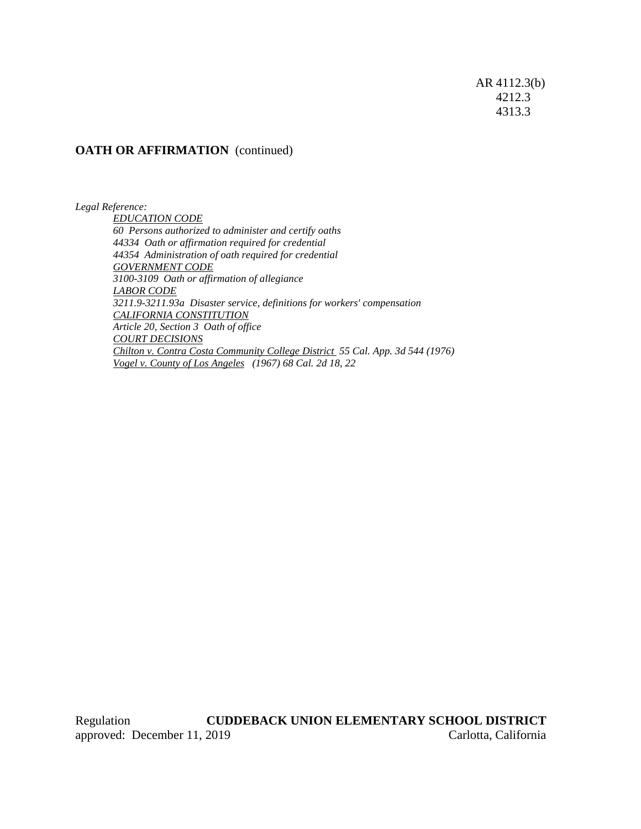AR 4112.3(b) 4212.3 4313.3

## **OATH OR AFFIRMATION** (continued)

*Legal Reference:*

*EDUCATION CODE 60 Persons authorized to administer and certify oaths 44334 Oath or affirmation required for credential 44354 Administration of oath required for credential GOVERNMENT CODE 3100-3109 Oath or affirmation of allegiance LABOR CODE 3211.9-3211.93a Disaster service, definitions for workers' compensation CALIFORNIA CONSTITUTION Article 20, Section 3 Oath of office COURT DECISIONS Chilton v. Contra Costa Community College District 55 Cal. App. 3d 544 (1976) Vogel v. County of Los Angeles (1967) 68 Cal. 2d 18, 22*

Regulation **CUDDEBACK UNION ELEMENTARY SCHOOL DISTRICT** approved: December 11, 2019 Carlotta, California